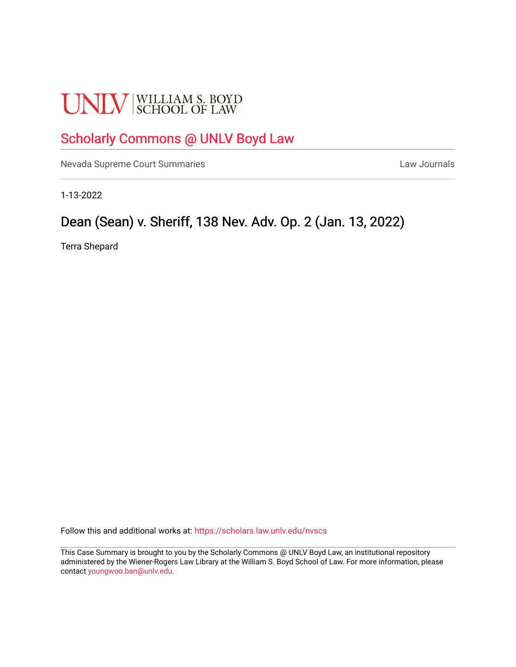# **UNLV** SCHOOL OF LAW

# [Scholarly Commons @ UNLV Boyd Law](https://scholars.law.unlv.edu/)

[Nevada Supreme Court Summaries](https://scholars.law.unlv.edu/nvscs) **Law Journals** Law Journals

1-13-2022

# Dean (Sean) v. Sheriff, 138 Nev. Adv. Op. 2 (Jan. 13, 2022)

Terra Shepard

Follow this and additional works at: [https://scholars.law.unlv.edu/nvscs](https://scholars.law.unlv.edu/nvscs?utm_source=scholars.law.unlv.edu%2Fnvscs%2F1467&utm_medium=PDF&utm_campaign=PDFCoverPages)

This Case Summary is brought to you by the Scholarly Commons @ UNLV Boyd Law, an institutional repository administered by the Wiener-Rogers Law Library at the William S. Boyd School of Law. For more information, please contact [youngwoo.ban@unlv.edu](mailto:youngwoo.ban@unlv.edu).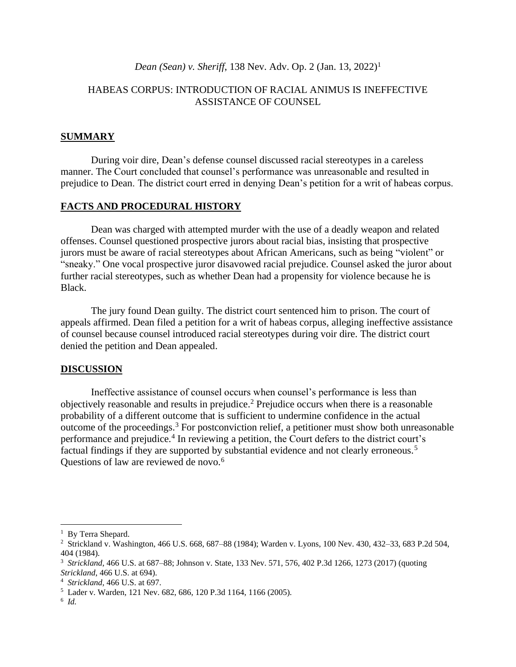## *Dean (Sean) v. Sheriff*, 138 Nev. Adv. Op. 2 (Jan. 13, 2022)<sup>1</sup>

# HABEAS CORPUS: INTRODUCTION OF RACIAL ANIMUS IS INEFFECTIVE ASSISTANCE OF COUNSEL

# **SUMMARY**

During voir dire, Dean's defense counsel discussed racial stereotypes in a careless manner. The Court concluded that counsel's performance was unreasonable and resulted in prejudice to Dean. The district court erred in denying Dean's petition for a writ of habeas corpus.

## **FACTS AND PROCEDURAL HISTORY**

Dean was charged with attempted murder with the use of a deadly weapon and related offenses. Counsel questioned prospective jurors about racial bias, insisting that prospective jurors must be aware of racial stereotypes about African Americans, such as being "violent" or "sneaky." One vocal prospective juror disavowed racial prejudice. Counsel asked the juror about further racial stereotypes, such as whether Dean had a propensity for violence because he is Black.

The jury found Dean guilty. The district court sentenced him to prison. The court of appeals affirmed. Dean filed a petition for a writ of habeas corpus, alleging ineffective assistance of counsel because counsel introduced racial stereotypes during voir dire. The district court denied the petition and Dean appealed.

#### **DISCUSSION**

Ineffective assistance of counsel occurs when counsel's performance is less than objectively reasonable and results in prejudice. <sup>2</sup> Prejudice occurs when there is a reasonable probability of a different outcome that is sufficient to undermine confidence in the actual outcome of the proceedings. <sup>3</sup> For postconviction relief, a petitioner must show both unreasonable performance and prejudice.<sup>4</sup> In reviewing a petition, the Court defers to the district court's factual findings if they are supported by substantial evidence and not clearly erroneous.<sup>5</sup> Questions of law are reviewed de novo.<sup>6</sup>

<sup>&</sup>lt;sup>1</sup> By Terra Shepard.

<sup>2</sup> Strickland v. Washington, 466 U.S. 668, 687–88 (1984); Warden v. Lyons, 100 Nev. 430, 432–33, 683 P.2d 504, 404 (1984).

<sup>3</sup> *Strickland*, 466 U.S. at 687–88; Johnson v. State, 133 Nev. 571, 576, 402 P.3d 1266, 1273 (2017) (quoting *Strickland*, 466 U.S. at 694).

<sup>4</sup> *Strickland*, 466 U.S. at 697.

<sup>5</sup> Lader v. Warden, 121 Nev. 682, 686, 120 P.3d 1164, 1166 (2005).

<sup>6</sup> *Id.*